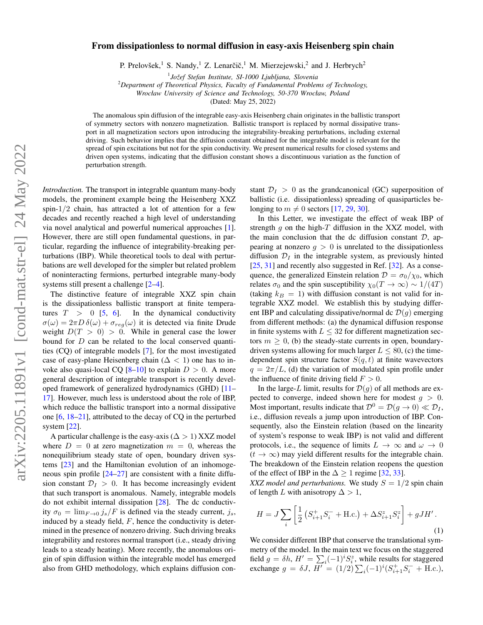## From dissipationless to normal diffusion in easy-axis Heisenberg spin chain

P. Prelovšek,<sup>1</sup> S. Nandy,<sup>1</sup> Z. Lenarčič,<sup>1</sup> M. Mierzejewski,<sup>2</sup> and J. Herbrych<sup>2</sup>

<sup>1</sup>Jožef Stefan Institute, SI-1000 Ljubljana, Slovenia

<sup>2</sup>*Department of Theoretical Physics, Faculty of Fundamental Problems of Technology,*

*Wrocław University of Science and Technology, 50-370 Wrocław, Poland*

(Dated: May 25, 2022)

The anomalous spin diffusion of the integrable easy-axis Heisenberg chain originates in the ballistic transport of symmetry sectors with nonzero magnetization. Ballistic transport is replaced by normal dissipative transport in all magnetization sectors upon introducing the integrability-breaking perturbations, including external driving. Such behavior implies that the diffusion constant obtained for the integrable model is relevant for the spread of spin excitations but not for the spin conductivity. We present numerical results for closed systems and driven open systems, indicating that the diffusion constant shows a discontinuous variation as the function of perturbation strength.

*Introduction.* The transport in integrable quantum many-body models, the prominent example being the Heisenberg XXZ spin-1/2 chain, has attracted a lot of attention for a few decades and recently reached a high level of understanding via novel analytical and powerful numerical approaches [\[1\]](#page-4-0). However, there are still open fundamental questions, in particular, regarding the influence of integrability-breaking perturbations (IBP). While theoretical tools to deal with perturbations are well developed for the simpler but related problem of noninteracting fermions, perturbed integrable many-body systems still present a challenge  $[2-4]$  $[2-4]$ .

The distinctive feature of integrable XXZ spin chain is the dissipationless ballistic transport at finite temperatures  $T > 0$  [\[5,](#page-4-3) [6\]](#page-4-4). In the dynamical conductivity  $\sigma(\omega) = 2\pi D \,\delta(\omega) + \sigma_{reg}(\omega)$  it is detected via finite Drude weight  $D(T > 0) > 0$ . While in general case the lower bound for D can be related to the local conserved quantities (CQ) of integrable models [\[7\]](#page-4-5), for the most investigated case of easy-plane Heisenberg chain ( $\Delta$  < 1) one has to invoke also quasi-local CQ  $[8-10]$  $[8-10]$  to explain  $D > 0$ . A more general description of integrable transport is recently developed framework of generalized hydrodynamics (GHD) [\[11–](#page-4-8) [17\]](#page-4-9). However, much less is understood about the role of IBP, which reduce the ballistic transport into a normal dissipative one [\[6,](#page-4-4) [18](#page-4-10)[–21\]](#page-4-11), attributed to the decay of CQ in the perturbed system [\[22\]](#page-4-12).

A particular challenge is the easy-axis ( $\Delta > 1$ ) XXZ model where  $D = 0$  at zero magnetization  $m = 0$ , whereas the nonequilibrium steady state of open, boundary driven systems [\[23\]](#page-4-13) and the Hamiltonian evolution of an inhomogeneous spin profile [\[24](#page-4-14)[–27\]](#page-4-15) are consistent with a finite diffusion constant  $\mathcal{D}_I > 0$ . It has become increasingly evident that such transport is anomalous. Namely, integrable models do not exhibit internal dissipation [\[28\]](#page-4-16). The dc conductivity  $\sigma_0 = \lim_{F \to 0} j_s/F$  is defined via the steady current,  $j_s$ , induced by a steady field,  $F$ , hence the conductivity is determined in the presence of nonzero driving. Such driving breaks integrability and restores normal transport (i.e., steady driving leads to a steady heating). More recently, the anomalous origin of spin diffusion within the integrable model has emerged also from GHD methodology, which explains diffusion constant  $\mathcal{D}_I > 0$  as the grandcanonical (GC) superposition of ballistic (i.e. dissipationless) spreading of quasiparticles belonging to  $m \neq 0$  sectors [\[17,](#page-4-9) [29,](#page-4-17) [30\]](#page-4-18).

In this Letter, we investigate the effect of weak IBP of strength  $g$  on the high- $T$  diffusion in the XXZ model, with the main conclusion that the dc diffusion constant  $D$ , appearing at nonzero  $g > 0$  is unrelated to the dissipationless diffusion  $\mathcal{D}_I$  in the integrable system, as previously hinted [\[25,](#page-4-19) [31\]](#page-4-20) and recently also suggested in Ref. [\[32\]](#page-4-21). As a consequence, the generalized Einstein relation  $\mathcal{D} = \sigma_0/\chi_0$ , which relates  $\sigma_0$  and the spin susceptibility  $\chi_0(T \to \infty) \sim 1/(4T)$ (taking  $k_B = 1$ ) with diffusion constant is not valid for integrable XXZ model. We establish this by studying different IBP and calculating dissipative/normal dc  $\mathcal{D}(g)$  emerging from different methods: (a) the dynamical diffusion response in finite systems with  $L \leq 32$  for different magnetization sectors  $m \geq 0$ , (b) the steady-state currents in open, boundarydriven systems allowing for much larger  $L \le 80$ , (c) the timedependent spin structure factor  $S(q, t)$  at finite wavevectors  $q = 2\pi/L$ , (d) the variation of modulated spin profile under the influence of finite driving field  $F > 0$ .

In the large-L limit, results for  $\mathcal{D}(q)$  of all methods are expected to converge, indeed shown here for modest  $q > 0$ . Most important, results indicate that  $\mathcal{D}^0 = \mathcal{D}(q \to 0) \ll \mathcal{D}_I$ , i.e., diffusion reveals a jump upon introduction of IBP. Consequently, also the Einstein relation (based on the linearity of system's response to weak IBP) is not valid and different protocols, i.e., the sequence of limits  $L \to \infty$  and  $\omega \to 0$  $(t \to \infty)$  may yield different results for the integrable chain. The breakdown of the Einstein relation reopens the question of the effect of IBP in the  $\Delta \geq 1$  regime [\[32,](#page-4-21) [33\]](#page-4-22).

*XXZ model and perturbations.* We study  $S = 1/2$  spin chain of length L with anisotropy  $\Delta > 1$ ,

<span id="page-0-0"></span>
$$
H = J \sum_{i} \left[ \frac{1}{2} \left( S_{i+1}^{+} S_{i}^{-} + \text{H.c.} \right) + \Delta S_{i+1}^{z} S_{i}^{z} \right] + gJH'.
$$
\n(1)

We consider different IBP that conserve the translational symmetry of the model. In the main text we focus on the staggered field  $g = \delta h$ ,  $H' = \sum_i (-1)^i S_i^z$ , while results for staggered exchange  $g = \delta J$ ,  $\overline{H'} = (1/2) \sum_i (-1)^i (S_{i+1}^+ S_i^- + \text{H.c.})$ ,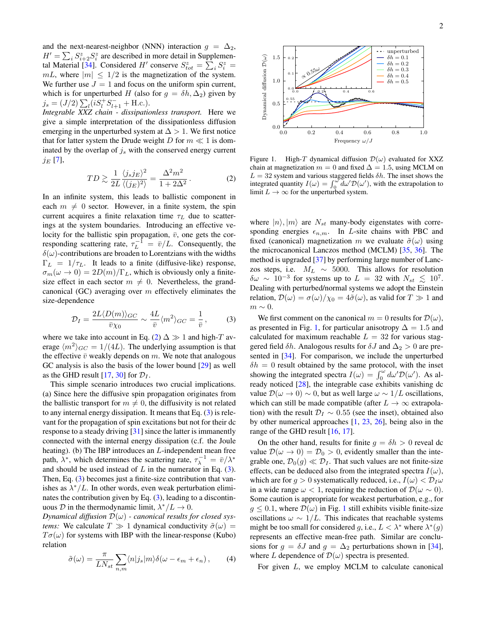and the next-nearest-neighbor (NNN) interaction  $g = \Delta_2$ ,  $H' = \sum_i S_{i+2}^z S_i^z$  are described in more detail in Supplemen-tal Material [\[34\]](#page-4-23). Considered H' conserve  $S_{tot}^z = \sum_i S_i^z =$  $mL$ , where  $|m| \leq 1/2$  is the magnetization of the system. We further use  $J = 1$  and focus on the uniform spin current, which is for unperturbed H (also for  $g = \delta h, \Delta_2$ ) given by  $j_s = (J/2) \sum_l (i S_l^+ S_{l+1}^- + \text{H.c.}).$ 

*Integrable XXZ chain - dissipationless transport.* Here we give a simple interpretation of the dissipationless diffusion emerging in the unperturbed system at  $\Delta > 1$ . We first notice that for latter system the Drude weight D for  $m \ll 1$  is dominated by the overlap of  $j_s$  with the conserved energy current  $j_E$  [\[7\]](#page-4-5),

<span id="page-1-0"></span>
$$
TD \gtrsim \frac{1}{2L} \frac{\langle j_s j_E \rangle^2}{\langle (j_E)^2 \rangle} = \frac{\Delta^2 m^2}{1 + 2\Delta^2} \,. \tag{2}
$$

In an infinite system, this leads to ballistic component in each  $m \neq 0$  sector. However, in a finite system, the spin current acquires a finite relaxation time  $\tau_L$  due to scatterings at the system boundaries. Introducing an effective velocity for the ballistic spin propagation,  $\bar{v}$ , one gets the corresponding scattering rate,  $\tau_L^{-1} = \bar{v}/L$ . Consequently, the  $\delta(\omega)$ -contributions are broaden to Lorentzians with the widths  $\Gamma_L = 1/\tau_L$ . It leads to a finite (diffusive-like) response,  $\sigma_m(\omega \to 0) = 2D(m)/\Gamma_L$ , which is obviously only a finitesize effect in each sector  $m \neq 0$ . Nevertheless, the grandcanonical (GC) averaging over  $m$  effectively eliminates the size-dependence

<span id="page-1-1"></span>
$$
\mathcal{D}_I = \frac{2L\langle D(m)\rangle_{GC}}{\bar{v}\chi_0} \sim \frac{4L}{\bar{v}} \langle m^2 \rangle_{GC} = \frac{1}{\bar{v}},\qquad(3)
$$

where we take into account in Eq. [\(2\)](#page-1-0)  $\Delta \gg 1$  and high-T average  $\langle m^2 \rangle_{GC} = 1/(4L)$ . The underlying assumption is that the effective  $\bar{v}$  weakly depends on m. We note that analogous GC analysis is also the basis of the lower bound [\[29\]](#page-4-17) as well as the GHD result [\[17,](#page-4-9) [30\]](#page-4-18) for  $\mathcal{D}_I$ .

This simple scenario introduces two crucial implications. (a) Since here the diffusive spin propagation originates from the ballistic transport for  $m \neq 0$ , the diffusivity is not related to any internal energy dissipation. It means that Eq.  $(3)$  is relevant for the propagation of spin excitations but not for their dc response to a steady driving [\[31\]](#page-4-20) since the latter is immanently connected with the internal energy dissipation (c.f. the Joule heating). (b) The IBP introduces an L-independent mean free path,  $\lambda^*$ , which determines the scattering rate,  $\tau_{\lambda}^{-1} = \bar{v}/\lambda^*$ and should be used instead of  $L$  in the numerator in Eq. [\(3\)](#page-1-1). Then, Eq. [\(3\)](#page-1-1) becomes just a finite-size contribution that vanishes as  $\lambda^*/L$ . In other words, even weak perturbation eliminates the contribution given by Eq.  $(3)$ , leading to a discontinuous  $D$  in the thermodynamic limit,  $\lambda^*/L \to 0$ .

*Dynamical diffusion*  $\mathcal{D}(\omega)$  *- canonical results for closed systems:* We calculate  $T \gg 1$  dynamical conductivity  $\tilde{\sigma}(\omega)$  =  $T\sigma(\omega)$  for systems with IBP with the linear-response (Kubo) relation

<span id="page-1-3"></span>
$$
\tilde{\sigma}(\omega) = \frac{\pi}{LN_{st}} \sum_{n,m} \langle n|j_s|m \rangle \delta(\omega - \epsilon_m + \epsilon_n), \qquad (4)
$$



<span id="page-1-2"></span>Figure 1. High-T dynamical diffusion  $\mathcal{D}(\omega)$  evaluated for XXZ chain at magnetization  $m = 0$  and fixed  $\Delta = 1.5$ , using MCLM on  $L = 32$  system and various staggered fields  $\delta h$ . The inset shows the integrated quantity  $I(\omega) = \int_0^{\omega} d\omega' \mathcal{D}(\omega')$ , with the extrapolation to limit  $L \to \infty$  for the unperturbed system.

where  $|n\rangle, |m\rangle$  are  $N_{st}$  many-body eigenstates with corresponding energies  $\epsilon_{n,m}$ . In *L*-site chains with PBC and fixed (canonical) magnetization m we evaluate  $\tilde{\sigma}(\omega)$  using the microcanonical Lanczos method (MCLM) [\[35,](#page-4-24) [36\]](#page-4-25). The method is upgraded [\[37\]](#page-4-26) by performing large number of Lanczos steps, i.e.  $M_L \sim 5000$ . This allows for resolution  $\delta\omega \sim 10^{-3}$  for systems up to  $L = 32$  with  $N_{st} \leq 10^7$ . Dealing with perturbed/normal systems we adopt the Einstein relation,  $\mathcal{D}(\omega) = \sigma(\omega)/\chi_0 = 4\tilde{\sigma}(\omega)$ , as valid for  $T \gg 1$  and  $m \sim 0$ .

We first comment on the canonical  $m = 0$  results for  $\mathcal{D}(\omega)$ , as presented in Fig. [1,](#page-1-2) for particular anisotropy  $\Delta = 1.5$  and calculated for maximum reachable  $L = 32$  for various staggered field  $\delta h$ . Analogous results for  $\delta J$  and  $\Delta_2 > 0$  are presented in [\[34\]](#page-4-23). For comparison, we include the unperturbed  $\delta h = 0$  result obtained by the same protocol, with the inset showing the integrated spectra  $I(\omega) = \int_0^{\omega} d\omega' \mathcal{D}(\omega')$ . As already noticed [\[28\]](#page-4-16), the integrable case exhibits vanishing dc value  $\mathcal{D}(\omega \to 0) \sim 0$ , but as well large  $\omega \sim 1/L$  oscillations, which can still be made compatible (after  $L \rightarrow \infty$  extrapolation) with the result  $\mathcal{D}_I \sim 0.55$  (see the inset), obtained also by other numerical approaches [\[1,](#page-4-0) [23,](#page-4-13) [26\]](#page-4-27), being also in the range of the GHD result [\[16,](#page-4-28) [17\]](#page-4-9).

On the other hand, results for finite  $g = \delta h > 0$  reveal dc value  $\mathcal{D}(\omega \to 0) = \mathcal{D}_0 > 0$ , evidently smaller than the integrable one,  $\mathcal{D}_0(g) \ll \mathcal{D}_I$ . That such values are not finite-size effects, can be deduced also from the integrated spectra  $I(\omega)$ , which are for  $g > 0$  systematically reduced, i.e.,  $I(\omega) < \mathcal{D}_I \omega$ in a wide range  $\omega < 1$ , requiring the reduction of  $\mathcal{D}(\omega \sim 0)$ . Some caution is appropriate for weakest perturbation, e.g., for  $g \le 0.1$  $g \le 0.1$ , where  $\mathcal{D}(\omega)$  in Fig. 1 still exhibits visible finite-size oscillations  $\omega \sim 1/L$ . This indicates that reachable systems might be too small for considered g, i.e.,  $L < \lambda^*$  where  $\lambda^*(g)$ represents an effective mean-free path. Similar are conclusions for  $g = \delta J$  and  $g = \Delta_2$  perturbations shown in [\[34\]](#page-4-23), where L dependence of  $\mathcal{D}(\omega)$  spectra is presented.

For given L, we employ MCLM to calculate canonical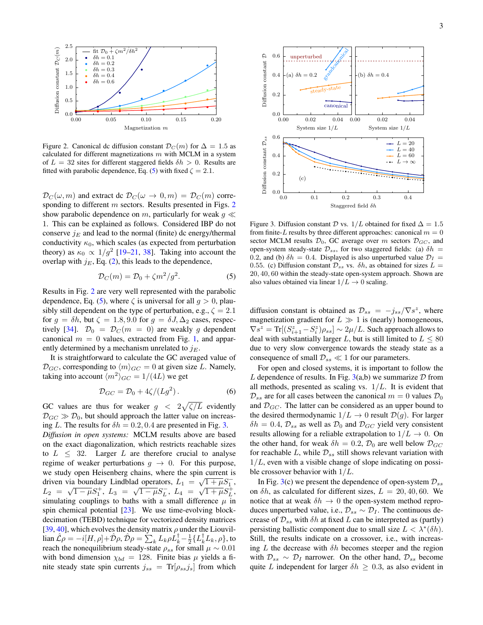

<span id="page-2-1"></span>Figure 2. Canonical dc diffusion constant  $\mathcal{D}_C(m)$  for  $\Delta = 1.5$  as calculated for different magnetizations  $m$  with MCLM in a system of  $L = 32$  sites for different staggered fields  $\delta h > 0$ . Results are fitted with parabolic dependence, Eq. [\(5\)](#page-2-0) with fixed  $\zeta = 2.1$ .

 $\mathcal{D}_C(\omega, m)$  and extract dc  $\mathcal{D}_C(\omega \to 0, m) = \mathcal{D}_C(m)$  corre-sponding to different m sectors. Results presented in Figs. [2](#page-2-1) show parabolic dependence on m, particularly for weak  $q \ll$ 1. This can be explained as follows. Considered IBP do not conserve  $j_E$  and lead to the normal (finite) dc energy/thermal conductivity  $\kappa_0$ , which scales (as expected from perturbation theory) as  $\kappa_0 \propto 1/g^2$  [\[19–](#page-4-29)[21,](#page-4-11) [38\]](#page-5-0). Taking into account the overlap with  $j_E$ , Eq. [\(2\)](#page-1-0), this leads to the dependence,

<span id="page-2-0"></span>
$$
\mathcal{D}_C(m) = \mathcal{D}_0 + \zeta m^2 / g^2. \tag{5}
$$

Results in Fig. [2](#page-2-1) are very well represented with the parabolic dependence, Eq. [\(5\)](#page-2-0), where  $\zeta$  is universal for all  $q > 0$ , plausibly still dependent on the type of perturbation, e.g.,  $\zeta = 2.1$ for  $g = \delta h$ , but  $\zeta = 1.8, 9.0$  for  $g = \delta J$ ,  $\Delta_2$  cases, respec-tively [\[34\]](#page-4-23).  $\mathcal{D}_0 = \mathcal{D}_C(m = 0)$  are weakly g dependent canonical  $m = 0$  values, extracted from Fig. [1,](#page-1-2) and apparently determined by a mechanism unrelated to  $j_E$ .

It is straightforward to calculate the GC averaged value of  $\mathcal{D}_{GC}$ , corresponding to  $\langle m \rangle_{GC} = 0$  at given size L. Namely, taking into account  $\langle m^2 \rangle_{GC} = 1/(4L)$  we get

<span id="page-2-3"></span>
$$
\mathcal{D}_{GC} = \mathcal{D}_0 + 4\zeta/(Lg^2). \tag{6}
$$

GC values are thus for weaker  $g < 2\sqrt{\zeta/L}$  evidently  $\mathcal{D}_{GC} \gg \mathcal{D}_0$ , but should approach the latter value on increasing L. The results for  $\delta h = 0.2, 0.4$  are presented in Fig. [3.](#page-2-2)

*Diffusion in open systems:* MCLM results above are based on the exact diagonalization, which restricts reachable sizes to  $L < 32$ . Larger L are therefore crucial to analyse regime of weaker perturbations  $g \to 0$ . For this purpose, we study open Heisenberg chains, where the spin current is driven via boundary Lindblad operators,  $L_1 = \sqrt{1 + \mu} S_1^ L_2 = \sqrt{1 - \mu} S_1^+, L_3 = \sqrt{1 - \mu} S_L^-, L_4 = \sqrt{1 + \mu} S_L^+,$ simulating couplings to baths with a small difference  $\mu$  in spin chemical potential [\[23\]](#page-4-13). We use time-evolving blockdecimation (TEBD) technique for vectorized density matrices [\[39,](#page-5-1) [40\]](#page-5-2), which evolves the density matrix  $\rho$  under the Liouvil- $\lim \hat{\mathcal{L}}\rho = -i[H,\rho] + \hat{\mathcal{D}}\rho, \hat{\mathcal{D}}\rho = \sum_k L_k \rho L_k^{\dagger} - \frac{1}{2} \{L_k^{\dagger} L_k, \rho\},$  to reach the nonequilibrium steady-state  $\rho_{ss}$  for small  $\mu \sim 0.01$ with bond dimension  $\chi_{bd} = 128$ . Finite bias  $\mu$  yields a finite steady state spin currents  $j_{ss}$  = Tr[ $\rho_{ss}j_s$ ] from which



<span id="page-2-2"></span>Figure 3. Diffusion constant  $\mathcal D$  vs.  $1/L$  obtained for fixed  $\Delta = 1.5$ from finite-L results by three different approaches: canonical  $m = 0$ sector MCLM results  $\mathcal{D}_0$ , GC average over m sectors  $\mathcal{D}_{GC}$ , and open-system steady-state  $\mathcal{D}_{ss}$ , for two staggered fields: (a)  $\delta h =$ 0.2, and (b)  $\delta h = 0.4$ . Displayed is also unperturbed value  $\mathcal{D}_I =$ 0.55. (c) Diffusion constant  $\mathcal{D}_{ss}$  vs.  $\delta h$ , as obtained for sizes  $L =$ 20, 40, 60 within the steady-state open-system approach. Shown are also values obtained via linear  $1/L \rightarrow 0$  scaling.

diffusion constant is obtained as  $\mathcal{D}_{ss} = -j_{ss}/\nabla s^z$ , where magnetization gradient for  $L \gg 1$  is (nearly) homogeneous,  $\nabla s^z = \text{Tr}[(S_{i+1}^z - S_i^z)\rho_{ss}] \sim 2\mu/L$ . Such approach allows to deal with substantially larger L, but is still limited to  $L \leq 80$ due to very slow convergence towards the steady state as a consequence of small  $\mathcal{D}_{ss} \ll 1$  for our parameters.

For open and closed systems, it is important to follow the L dependence of results. In Fig.  $3(a,b)$  $3(a,b)$  we summarize D from all methods, presented as scaling vs.  $1/L$ . It is evident that  $\mathcal{D}_{ss}$  are for all cases between the canonical  $m = 0$  values  $\mathcal{D}_0$ and  $\mathcal{D}_{GC}$ . The latter can be considered as an upper bound to the desired thermodynamic  $1/L \rightarrow 0$  result  $\mathcal{D}(g)$ . For larger  $\delta h = 0.4$ ,  $\mathcal{D}_{ss}$  as well as  $\mathcal{D}_0$  and  $\mathcal{D}_{GC}$  yield very consistent results allowing for a reliable extrapolation to  $1/L \rightarrow 0$ . On the other hand, for weak  $\delta h = 0.2$ ,  $\mathcal{D}_0$  are well below  $\mathcal{D}_{GC}$ for reachable L, while  $\mathcal{D}_{ss}$  still shows relevant variation with  $1/L$ , even with a visible change of slope indicating on possible crossover behavior with  $1/L$ .

In Fig. [3\(](#page-2-2)c) we present the dependence of open-system  $\mathcal{D}_{ss}$ on  $\delta h$ , as calculated for different sizes,  $L = 20, 40, 60$ . We notice that at weak  $\delta h \to 0$  the open-system method reproduces unperturbed value, i.e.,  $\mathcal{D}_{ss} \sim \mathcal{D}_I$ . The continuous decrease of  $\mathcal{D}_{ss}$  with  $\delta h$  at fixed L can be interpreted as (partly) persisting ballistic component due to small size  $L < \lambda^*(\delta h)$ . Still, the results indicate on a crossover, i.e., with increasing L the decrease with  $\delta h$  becomes steeper and the region with  $\mathcal{D}_{ss} \sim \mathcal{D}_I$  narrower. On the other hand,  $\mathcal{D}_{ss}$  become quite L independent for larger  $\delta h \geq 0.3$ , as also evident in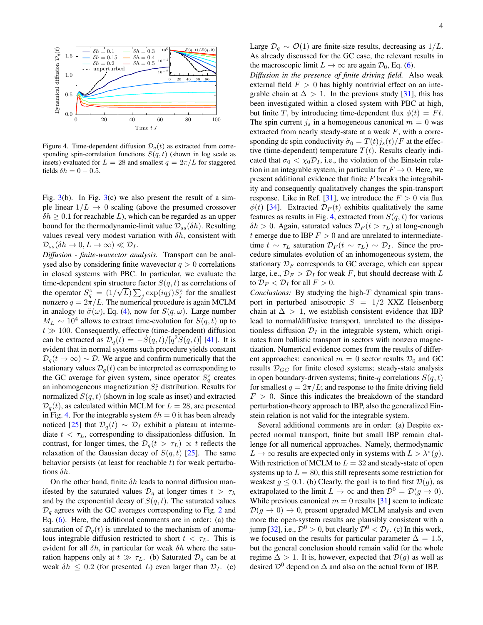

<span id="page-3-0"></span>Figure 4. Time-dependent diffusion  $\mathcal{D}_q(t)$  as extracted from corresponding spin-correlation functions  $S(q, t)$  (shown in log scale as insets) evaluated for  $L = 28$  and smallest  $q = 2\pi/L$  for staggered fields  $\delta h = 0 - 0.5$ .

Fig.  $3(b)$  $3(b)$ . In Fig.  $3(c)$  we also present the result of a simple linear  $1/L \rightarrow 0$  scaling (above the presumed crossover  $\delta h \geq 0.1$  for reachable L), which can be regarded as an upper bound for the thermodynamic-limit value  $\mathcal{D}_{ss}(\delta h)$ . Resulting values reveal very modest variation with  $\delta h$ , consistent with  $\mathcal{D}_{ss}(\delta h \to 0, L \to \infty) \ll \mathcal{D}_I.$ 

*Diffusion - finite-wavector analysis.* Transport can be analysed also by considering finite wavevector  $q > 0$  correlations in closed systems with PBC. In particular, we evaluate the time-dependent spin structure factor  $S(q, t)$  as correlations of the operator  $S_q^z = (1/\sqrt{L}) \sum_j \exp(iqj) S_j^z$  for the smallest nonzero  $q = 2\pi/L$ . The numerical procedure is again MCLM in analogy to  $\tilde{\sigma}(\omega)$ , Eq. [\(4\)](#page-1-3), now for  $S(q,\omega)$ . Large number  $M_L \sim 10^4$  allows to extract time-evolution for  $S(q, t)$  up to  $t \gg 100$ . Consequently, effective (time-dependent) diffusion can be extracted as  $\mathcal{D}_q(t) = -\dot{S}(q,t)/[q^2\dot{S}(q,t)]$  [\[41\]](#page-5-3). It is evident that in normal systems such procedure yields constant  $\mathcal{D}_q(t \to \infty) \sim \mathcal{D}$ . We argue and confirm numerically that the stationary values  $\mathcal{D}_q(t)$  can be interpreted as corresponding to the GC average for given system, since operator  $S_q^z$  creates an inhomogeneous magnetization  $S_i^z$  distribution. Results for normalized  $S(q, t)$  (shown in log scale as inset) and extracted  $\mathcal{D}_{q}(t)$ , as calculated within MCLM for  $L = 28$ , are presented in Fig. [4.](#page-3-0) For the integrable system  $\delta h = 0$  it has been already noticed [\[25\]](#page-4-19) that  $\mathcal{D}_q(t) \sim \mathcal{D}_I$  exhibit a plateau at intermediate  $t < \tau_L$ , corresponding to dissipationless diffusion. In contrast, for longer times, the  $\mathcal{D}_q(t > \tau_L) \propto t$  reflects the relaxation of the Gaussian decay of  $S(q, t)$  [\[25\]](#page-4-19). The same behavior persists (at least for reachable  $t$ ) for weak perturbations  $\delta h$ .

On the other hand, finite  $\delta h$  leads to normal diffusion manifested by the saturated values  $\mathcal{D}_q$  at longer times  $t > \tau_\lambda$ and by the exponential decay of  $S(q, t)$ . The saturated values  $\mathcal{D}_q$  agrees with the GC averages corresponding to Fig. [2](#page-2-1) and Eq. [\(6\)](#page-2-3). Here, the additional comments are in order: (a) the saturation of  $\mathcal{D}_q(t)$  is unrelated to the mechanism of anomalous integrable diffusion restricted to short  $t < \tau_L$ . This is evident for all  $\delta h$ , in particular for weak  $\delta h$  where the saturation happens only at  $t \gg \tau_L$ . (b) Saturated  $\mathcal{D}_q$  can be at weak  $\delta h \leq 0.2$  (for presented L) even larger than  $\mathcal{D}_I$ . (c)

Large  $\mathcal{D}_q \sim \mathcal{O}(1)$  are finite-size results, decreasing as 1/*L*. As already discussed for the GC case, the relevant results in the macroscopic limit  $L \to \infty$  are again  $\mathcal{D}_0$ , Eq. [\(6\)](#page-2-3).

*Diffusion in the presence of finite driving field.* Also weak external field  $F > 0$  has highly nontrivial effect on an integrable chain at  $\Delta > 1$ . In the previous study [\[31\]](#page-4-20), this has been investigated within a closed system with PBC at high, but finite T, by introducing time-dependent flux  $\phi(t) = Ft$ . The spin current  $i_s$  in a homogeneous canonical  $m = 0$  was extracted from nearly steady-state at a weak  $F$ , with a corresponding dc spin conductivity  $\tilde{\sigma}_0 = T(t)j_s(t)/F$  at the effective (time-dependent) temperature  $T(t)$ . Results clearly indicated that  $\sigma_0 < \chi_0 \mathcal{D}_I$ , i.e., the violation of the Einstein relation in an integrable system, in particular for  $F \to 0$ . Here, we present additional evidence that finite F breaks the integrability and consequently qualitatively changes the spin-transport response. Like in Ref. [\[31\]](#page-4-20), we introduce the  $F > 0$  via flux  $\phi(t)$  [\[34\]](#page-4-23). Extracted  $\mathcal{D}_F(t)$  exhibits qualitatively the same features as results in Fig. [4,](#page-3-0) extracted from  $S(q, t)$  for various  $\delta h > 0$ . Again, saturated values  $\mathcal{D}_F(t > \tau_L)$  at long-enough t emerge due to IBP  $F > 0$  and are unrelated to intermediatetime  $t \sim \tau_L$  saturation  $\mathcal{D}_F(t \sim \tau_L) \sim \mathcal{D}_I$ . Since the procedure simulates evolution of an inhomogeneous system, the stationary  $\mathcal{D}_F$  corresponds to GC average, which can appear large, i.e.,  $\mathcal{D}_F > \mathcal{D}_I$  for weak F, but should decrease with L to  $\mathcal{D}_F < \mathcal{D}_I$  for all  $F > 0$ .

*Conclusions:* By studying the high-T dynamical spin transport in perturbed anisotropic  $S = 1/2$  XXZ Heisenberg chain at  $\Delta > 1$ , we establish consistent evidence that IBP lead to normal/diffusive transport, unrelated to the dissipationless diffusion  $\mathcal{D}_I$  in the integrable system, which originates from ballistic transport in sectors with nonzero magnetization. Numerical evidence comes from the results of different approaches: canonical  $m = 0$  sector results  $\mathcal{D}_0$  and GC results  $\mathcal{D}_{GC}$  for finite closed systems; steady-state analysis in open boundary-driven systems; finite-q correlations  $S(q, t)$ for smallest  $q = 2\pi/L$ ; and response to the finite driving field  $F > 0$ . Since this indicates the breakdown of the standard perturbation-theory approach to IBP, also the generalized Einstein relation is not valid for the integrable system.

Several additional comments are in order: (a) Despite expected normal transport, finite but small IBP remain challenge for all numerical approaches. Namely, thermodynamic  $L \to \infty$  results are expected only in systems with  $L > \lambda^*(g)$ . With restriction of MCLM to  $L = 32$  and steady-state of open systems up to  $L = 80$ , this still represents some restriction for weakest  $g \le 0.1$ . (b) Clearly, the goal is to find first  $\mathcal{D}(g)$ , as extrapolated to the limit  $L \to \infty$  and then  $\mathcal{D}^0 = \mathcal{D}(q \to 0)$ . While previous canonical  $m = 0$  results [\[31\]](#page-4-20) seem to indicate  $\mathcal{D}(q \to 0) \to 0$ , present upgraded MCLM analysis and even more the open-system results are plausibly consistent with a jump [\[32\]](#page-4-21), i.e.,  $\mathcal{D}^0 > 0$ , but clearly  $\mathcal{D}^0 < \mathcal{D}_I$ . (c) In this work, we focused on the results for particular parameter  $\Delta = 1.5$ , but the general conclusion should remain valid for the whole regime  $\Delta > 1$ . It is, however, expected that  $\mathcal{D}(g)$  as well as desired  $\mathcal{D}^0$  depend on  $\Delta$  and also on the actual form of IBP.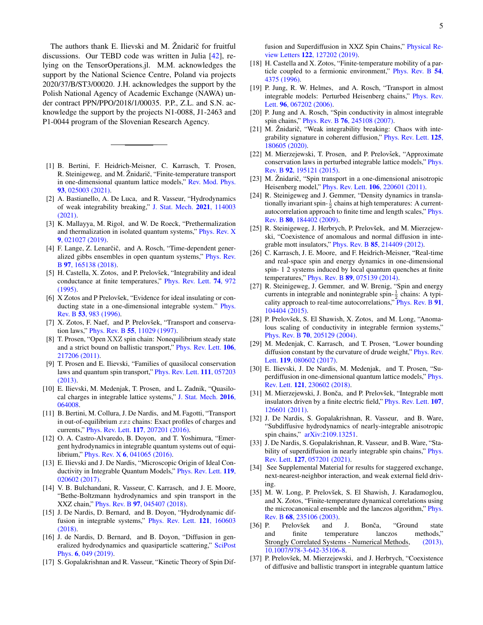The authors thank E. Ilievski and M. Žnidarič for fruitful discussions. Our TEBD code was written in Julia [\[42\]](#page-5-4), relying on the TensorOperations.jl. M.M. acknowledges the support by the National Science Centre, Poland via projects 2020/37/B/ST3/00020. J.H. acknowledges the support by the Polish National Agency of Academic Exchange (NAWA) under contract PPN/PPO/2018/1/00035. P.P., Z.L. and S.N. acknowledge the support by the projects N1-0088, J1-2463 and P1-0044 program of the Slovenian Research Agency.

- <span id="page-4-0"></span>[1] B. Bertini, F. Heidrich-Meisner, C. Karrasch, T. Prosen, R. Steinigeweg, and M. Žnidarič, "Finite-temperature transport in one-dimensional quantum lattice models," [Rev. Mod. Phys.](http://dx.doi.org/ 10.1103/RevModPhys.93.025003) 93[, 025003 \(2021\).](http://dx.doi.org/ 10.1103/RevModPhys.93.025003)
- <span id="page-4-1"></span>[2] A. Bastianello, A. De Luca, and R. Vasseur, "Hydrodynamics of weak integrability breaking," [J. Stat. Mech.](http://dx.doi.org/10.1088/1742-5468/ac26b2) 2021, 114003 [\(2021\).](http://dx.doi.org/10.1088/1742-5468/ac26b2)
- [3] K. Mallayya, M. Rigol, and W. De Roeck, "Prethermalization and thermalization in isolated quantum systems," [Phys. Rev. X](http://dx.doi.org/ 10.1103/PhysRevX.9.021027) 9[, 021027 \(2019\).](http://dx.doi.org/ 10.1103/PhysRevX.9.021027)
- <span id="page-4-2"></span>[4] F. Lange, Z. Lenarčič, and A. Rosch, "Time-dependent generalized gibbs ensembles in open quantum systems," [Phys. Rev.](http://dx.doi.org/ 10.1103/PhysRevB.97.165138) B 97[, 165138 \(2018\).](http://dx.doi.org/ 10.1103/PhysRevB.97.165138)
- <span id="page-4-3"></span>[5] H. Castella, X. Zotos, and P. Prelovšek, "Integrability and ideal conductance at finite temperatures," [Phys. Rev. Lett.](http://iopscience.iop.org/1402-4896/20/3-4/026 http://link.aps.org/doi/10.1103/PhysRevLett.74.972) 74, 972 [\(1995\).](http://iopscience.iop.org/1402-4896/20/3-4/026 http://link.aps.org/doi/10.1103/PhysRevLett.74.972)
- <span id="page-4-4"></span>[6] X Zotos and P Prelovšek, "Evidence for ideal insulating or conducting state in a one-dimensional integrable system." [Phys.](http://www.ncbi.nlm.nih.gov/pubmed/9983535) Rev. B 53[, 983 \(1996\).](http://www.ncbi.nlm.nih.gov/pubmed/9983535)
- <span id="page-4-5"></span>[7] X. Zotos, F. Naef, and P. Prelovšek, "Transport and conservation laws," Phys. Rev. B 55[, 11029 \(1997\).](http://dx.doi.org/10.1103/PhysRevB.55.11029)
- <span id="page-4-6"></span>[8] T. Prosen, "Open XXZ spin chain: Nonequilibrium steady state and a strict bound on ballistic transport," [Phys. Rev. Lett.](http://dx.doi.org/10.1103/PhysRevLett.106.217206) 106, [217206 \(2011\).](http://dx.doi.org/10.1103/PhysRevLett.106.217206)
- [9] T. Prosen and E. Ilievski, "Families of quasilocal conservation laws and quantum spin transport," [Phys. Rev. Lett.](http://dx.doi.org/ 10.1103/PhysRevLett.111.057203) 111, 057203 [\(2013\).](http://dx.doi.org/ 10.1103/PhysRevLett.111.057203)
- <span id="page-4-7"></span>[10] E. Ilievski, M. Medenjak, T. Prosen, and L. Zadnik, "Quasilocal charges in integrable lattice systems," [J. Stat. Mech.](http://dx.doi.org/10.1088/1742-5468/2016/06/064008) 2016, [064008.](http://dx.doi.org/10.1088/1742-5468/2016/06/064008)
- <span id="page-4-8"></span>[11] B. Bertini, M. Collura, J. De Nardis, and M. Fagotti, "Transport in out-of-equilibrium  $xxx$  chains: Exact profiles of charges and currents," Phys. Rev. Lett. 117[, 207201 \(2016\).](http://dx.doi.org/ 10.1103/PhysRevLett.117.207201)
- [12] O. A. Castro-Alvaredo, B. Doyon, and T. Yoshimura, "Emergent hydrodynamics in integrable quantum systems out of equilibrium," Phys. Rev. X 6[, 041065 \(2016\).](http://dx.doi.org/10.1103/PhysRevX.6.041065)
- [13] E. Ilievski and J. De Nardis, "Microscopic Origin of Ideal Conductivity in Integrable Quantum Models," [Phys. Rev. Lett.](http://dx.doi.org/10.1103/PhysRevLett.119.020602) 119, [020602 \(2017\).](http://dx.doi.org/10.1103/PhysRevLett.119.020602)
- [14] V. B. Bulchandani, R. Vasseur, C. Karrasch, and J. E. Moore, "Bethe-Boltzmann hydrodynamics and spin transport in the XXZ chain," Phys. Rev. B 97[, 045407 \(2018\).](http://dx.doi.org/ 10.1103/PhysRevB.97.045407)
- [15] J. De Nardis, D. Bernard, and B. Doyon, "Hydrodynamic dif-fusion in integrable systems," [Phys. Rev. Lett.](http://dx.doi.org/10.1103/PhysRevLett.121.160603) 121, 160603 [\(2018\).](http://dx.doi.org/10.1103/PhysRevLett.121.160603)
- <span id="page-4-28"></span>[16] J. de Nardis, D. Bernard, and B. Doyon, "Diffusion in generalized hydrodynamics and quasiparticle scattering," [SciPost](http://dx.doi.org/ 10.21468/SciPostPhys.6.4.049) Phys. 6[, 049 \(2019\).](http://dx.doi.org/ 10.21468/SciPostPhys.6.4.049)
- <span id="page-4-9"></span>[17] S. Gopalakrishnan and R. Vasseur, "Kinetic Theory of Spin Dif-

fusion and Superdiffusion in XXZ Spin Chains," [Physical Re](http://dx.doi.org/ 10.1103/PhysRevLett.122.127202)view Letters 122[, 127202 \(2019\).](http://dx.doi.org/ 10.1103/PhysRevLett.122.127202)

- <span id="page-4-10"></span>[18] H. Castella and X. Zotos, "Finite-temperature mobility of a particle coupled to a fermionic environment," [Phys. Rev. B](http://dx.doi.org/10.1103/PhysRevB.54.4375) 54, [4375 \(1996\).](http://dx.doi.org/10.1103/PhysRevB.54.4375)
- <span id="page-4-29"></span>[19] P. Jung, R. W. Helmes, and A. Rosch, "Transport in almost integrable models: Perturbed Heisenberg chains," [Phys. Rev.](http://dx.doi.org/ 10.1103/PhysRevLett.96.067202) Lett. 96[, 067202 \(2006\).](http://dx.doi.org/ 10.1103/PhysRevLett.96.067202)
- [20] P. Jung and A. Rosch, "Spin conductivity in almost integrable spin chains," Phys. Rev. B 76[, 245108 \(2007\).](http://dx.doi.org/10.1103/PhysRevB.76.245108)
- <span id="page-4-11"></span>[21] M. Žnidarič, "Weak integrability breaking: Chaos with integrability signature in coherent diffusion," [Phys. Rev. Lett.](http://dx.doi.org/10.1103/PhysRevLett.125.180605) 125, [180605 \(2020\).](http://dx.doi.org/10.1103/PhysRevLett.125.180605)
- <span id="page-4-12"></span>[22] M. Mierzejewski, T. Prosen, and P. Prelovšek, "Approximate conservation laws in perturbed integrable lattice models," [Phys.](http://dx.doi.org/10.1103/PhysRevB.92.195121) Rev. B 92[, 195121 \(2015\).](http://dx.doi.org/10.1103/PhysRevB.92.195121)
- <span id="page-4-13"></span>[23] M. Žnidarič, "Spin transport in a one-dimensional anisotropic Heisenberg model," Phys. Rev. Lett. 106[, 220601 \(2011\).](http://dx.doi.org/10.1103/PhysRevLett.106.220601)
- <span id="page-4-14"></span>[24] R. Steinigeweg and J. Gemmer, "Density dynamics in translationally invariant spin- $\frac{1}{2}$  chains at high temperatures: A currentautocorrelation approach to finite time and length scales," [Phys.](http://dx.doi.org/10.1103/PhysRevB.80.184402) Rev. B 80[, 184402 \(2009\).](http://dx.doi.org/10.1103/PhysRevB.80.184402)
- <span id="page-4-19"></span>[25] R. Steinigeweg, J. Herbrych, P. Prelovšek, and M. Mierzejewski, "Coexistence of anomalous and normal diffusion in integrable mott insulators," Phys. Rev. B 85[, 214409 \(2012\).](http://dx.doi.org/10.1103/PhysRevB.85.214409)
- <span id="page-4-27"></span>[26] C. Karrasch, J. E. Moore, and F. Heidrich-Meisner, "Real-time and real-space spin and energy dynamics in one-dimensional spin- 1 2 systems induced by local quantum quenches at finite temperatures," Phys. Rev. B 89[, 075139 \(2014\).](http://dx.doi.org/10.1103/PhysRevB.89.075139)
- <span id="page-4-15"></span>[27] R. Steinigeweg, J. Gemmer, and W. Brenig, "Spin and energy currents in integrable and nonintegrable spin- $\frac{1}{2}$  chains: A typicality approach to real-time autocorrelations," [Phys. Rev. B](http://dx.doi.org/ 10.1103/PhysRevB.91.104404) 91, [104404 \(2015\).](http://dx.doi.org/ 10.1103/PhysRevB.91.104404)
- <span id="page-4-16"></span>[28] P. Prelovšek, S. El Shawish, X. Zotos, and M. Long, "Anomalous scaling of conductivity in integrable fermion systems," Phys. Rev. B 70[, 205129 \(2004\).](http://dx.doi.org/10.1103/PhysRevB.70.205129)
- <span id="page-4-17"></span>[29] M. Medenjak, C. Karrasch, and T. Prosen, "Lower bounding diffusion constant by the curvature of drude weight," [Phys. Rev.](http://dx.doi.org/ 10.1103/PhysRevLett.119.080602) Lett. 119[, 080602 \(2017\).](http://dx.doi.org/ 10.1103/PhysRevLett.119.080602)
- <span id="page-4-18"></span>[30] E. Ilievski, J. De Nardis, M. Medenjak, and T. Prosen, "Superdiffusion in one-dimensional quantum lattice models," [Phys.](http://dx.doi.org/10.1103/PhysRevLett.121.230602) Rev. Lett. 121[, 230602 \(2018\).](http://dx.doi.org/10.1103/PhysRevLett.121.230602)
- <span id="page-4-20"></span>[31] M. Mierzejewski, J. Bonča, and P. Prelovšek, "Integrable mott insulators driven by a finite electric field," [Phys. Rev. Lett.](http://dx.doi.org/ 10.1103/PhysRevLett.107.126601) 107, [126601 \(2011\).](http://dx.doi.org/ 10.1103/PhysRevLett.107.126601)
- <span id="page-4-21"></span>[32] J. De Nardis, S. Gopalakrishnan, R. Vasseur, and B. Ware, "Subdiffusive hydrodynamics of nearly-integrable anisotropic spin chains," [arXiv:2109.13251.](http://arxiv.org/abs/2109.13251)
- <span id="page-4-22"></span>[33] J. De Nardis, S. Gopalakrishnan, R. Vasseur, and B. Ware, "Stability of superdiffusion in nearly integrable spin chains," [Phys.](http://dx.doi.org/ 10.1103/PhysRevLett.127.057201) Rev. Lett. 127[, 057201 \(2021\).](http://dx.doi.org/ 10.1103/PhysRevLett.127.057201)
- <span id="page-4-23"></span>[34] See Supplemental Material for results for staggered exchange, next-nearest-neighbor interaction, and weak external field driving.
- <span id="page-4-24"></span>[35] M. W. Long, P. Prelovšek, S. El Shawish, J. Karadamoglou, and X. Zotos, "Finite-temperature dynamical correlations using the microcanonical ensemble and the lanczos algorithm," [Phys.](http://dx.doi.org/ 10.1103/PhysRevB.68.235106) Rev. B 68[, 235106 \(2003\).](http://dx.doi.org/ 10.1103/PhysRevB.68.235106)
- <span id="page-4-25"></span>[36] P. Prelovšek and J. Bonča, "Ground state and finite temperature lanczos methods," Strongly Correlated Systems - Numerical Methods, [\(2013\),](http://dx.doi.org/10.1007/978-3-642-35106-8) [10.1007/978-3-642-35106-8.](http://dx.doi.org/10.1007/978-3-642-35106-8)
- <span id="page-4-26"></span>[37] P. Prelovšek, M. Mierzejewski, and J. Herbrych, "Coexistence of diffusive and ballistic transport in integrable quantum lattice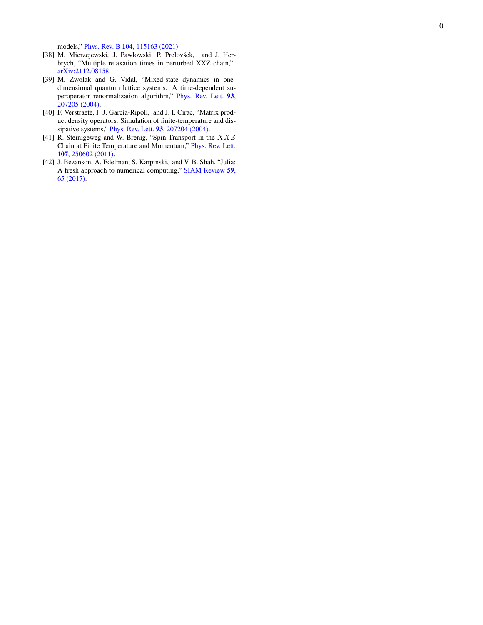models," Phys. Rev. B 104[, 115163 \(2021\)](http://dx.doi.org/ 10.1103/PhysRevB.104.115163).

- <span id="page-5-0"></span>[38] M. Mierzejewski, J. Pawłowski, P. Prelovšek, and J. Herbrych, "Multiple relaxation times in perturbed XXZ chain," [arXiv:2112.08158](http://arxiv.org/abs/2112.08158) .
- <span id="page-5-1"></span>[39] M. Zwolak and G. Vidal, "Mixed-state dynamics in onedimensional quantum lattice systems: A time-dependent superoperator renormalization algorithm," [Phys. Rev. Lett.](http://dx.doi.org/10.1103/PhysRevLett.93.207205) 93, [207205 \(2004\)](http://dx.doi.org/10.1103/PhysRevLett.93.207205) .
- <span id="page-5-2"></span>[40] F. Verstraete, J. J. García-Ripoll, and J. I. Cirac, "Matrix product density operators: Simulation of finite-temperature and dissipative systems," Phys. Rev. Lett. 93[, 207204 \(2004\).](http://dx.doi.org/10.1103/PhysRevLett.93.207204)
- <span id="page-5-3"></span>[41] R. Steinigeweg and W. Brenig, "Spin Transport in the  $XXZ$ Chain at Finite Temperature and Momentum," [Phys. Rev. Lett.](http://dx.doi.org/ 10.1103/PhysRevLett.107.250602) 107[, 250602 \(2011\)](http://dx.doi.org/ 10.1103/PhysRevLett.107.250602) .
- <span id="page-5-4"></span>[42] J. Bezanson, A. Edelman, S. Karpinski, and V. B. Shah, "Julia: A fresh approach to numerical computing," [SIAM Review](http://dx.doi.org/10.1137/141000671) 59, [65 \(2017\)](http://dx.doi.org/10.1137/141000671) .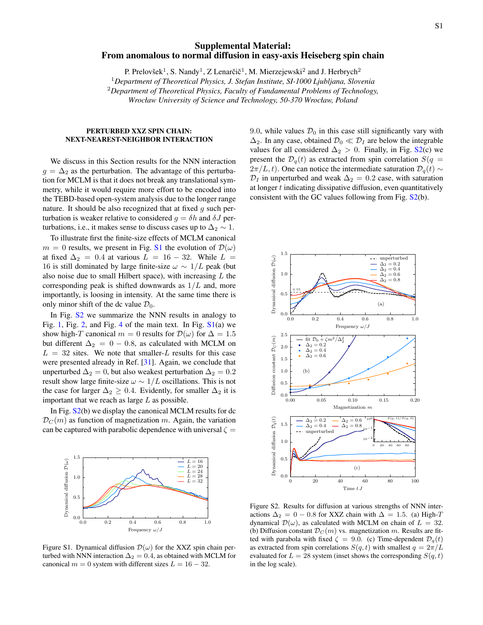# Supplemental Material: From anomalous to normal diffusion in easy-axis Heiseberg spin chain

P. Prelovšek<sup>1</sup>, S. Nandy<sup>1</sup>, Z Lenarčič<sup>1</sup>, M. Mierzejewski<sup>2</sup> and J. Herbrych<sup>2</sup>

<sup>1</sup>*Department of Theoretical Physics, J. Stefan Institute, SI-1000 Ljubljana, Slovenia*

<sup>2</sup>*Department of Theoretical Physics, Faculty of Fundamental Problems of Technology,*

*Wrocław University of Science and Technology, 50-370 Wrocław, Poland*

### PERTURBED XXZ SPIN CHAIN: NEXT-NEAREST-NEIGHBOR INTERACTION

We discuss in this Section results for the NNN interaction  $g = \Delta_2$  as the perturbation. The advantage of this perturbation for MCLM is that it does not break any translational symmetry, while it would require more effort to be encoded into the TEBD-based open-system analysis due to the longer range nature. It should be also recognized that at fixed  $g$  such perturbation is weaker relative to considered  $g = \delta h$  and  $\delta J$  perturbations, i.e., it makes sense to discuss cases up to  $\Delta_2 \sim 1$ .

To illustrate first the finite-size effects of MCLM canonical  $m = 0$  results, we present in Fig. [S1](#page-1-2) the evolution of  $\mathcal{D}(\omega)$ at fixed  $\Delta_2 = 0.4$  at various  $L = 16 - 32$ . While  $L =$ 16 is still dominated by large finite-size  $\omega \sim 1/L$  peak (but also noise due to small Hilbert space), with increasing  $L$  the corresponding peak is shifted downwards as  $1/L$  and, more importantly, is loosing in intensity. At the same time there is only minor shift of the dc value  $\mathcal{D}_0$ .

In Fig. S<sub>2</sub> we summarize the NNN results in analogy to Fig. [1,](#page-1-2) Fig. [2,](#page-2-1) and Fig. [4](#page-3-0) of the main text. In Fig.  $S1(a)$  $S1(a)$  we show high-T canonical  $m = 0$  results for  $\mathcal{D}(\omega)$  for  $\Delta = 1.5$ but different  $\Delta_2 = 0 - 0.8$ , as calculated with MCLM on  $L = 32$  sites. We note that smaller-L results for this case were presented already in Ref. [\[31\]](#page-4-20). Again, we conclude that unperturbed  $\Delta_2 = 0$ , but also weakest perturbation  $\Delta_2 = 0.2$ result show large finite-size  $\omega \sim 1/L$  oscillations. This is not the case for larger  $\Delta_2 \geq 0.4$ . Evidently, for smaller  $\Delta_2$  it is important that we reach as large  $L$  as possible.

In Fig. [S2\(](#page-2-1)b) we display the canonical MCLM results for dc  $\mathcal{D}_C(m)$  as function of magnetization m. Again, the variation can be captured with parabolic dependence with universal  $\zeta =$ 



Figure S1. Dynamical diffusion  $\mathcal{D}(\omega)$  for the XXZ spin chain perturbed with NNN interaction  $\Delta_2 = 0.4$ , as obtained with MCLM for canonical  $m = 0$  system with different sizes  $L = 16 - 32$ .

9.0, while values  $\mathcal{D}_0$  in this case still significantly vary with  $\Delta_2$ . In any case, obtained  $\mathcal{D}_0 \ll \mathcal{D}_I$  are below the integrable values for all considered  $\Delta_2 > 0$ . Finally, in Fig. [S2\(](#page-2-1)c) we present the  $\mathcal{D}_q(t)$  as extracted from spin correlation  $S(q =$  $2\pi/L, t$ ). One can notice the intermediate saturation  $\mathcal{D}_q(t) \sim$  $\mathcal{D}_I$  in unperturbed and weak  $\Delta_2 = 0.2$  case, with saturation at longer  $t$  indicating dissipative diffusion, even quantitatively consistent with the GC values following from Fig.  $S_2(b)$ .



Figure S2. Results for diffusion at various strengths of NNN interactions  $\Delta_2 = 0 - 0.8$  for XXZ chain with  $\Delta = 1.5$ . (a) High-T dynamical  $\mathcal{D}(\omega)$ , as calculated with MCLM on chain of  $L = 32$ . (b) Diffusion constant  $\mathcal{D}_C(m)$  vs. magnetization m. Results are fitted with parabola with fixed  $\zeta = 9.0$ . (c) Time-dependent  $\mathcal{D}_q(t)$ as extracted from spin correlations  $S(q, t)$  with smallest  $q = 2\pi/L$ evaluated for  $L = 28$  system (inset shows the corresponding  $S(q, t)$ ) in the log scale).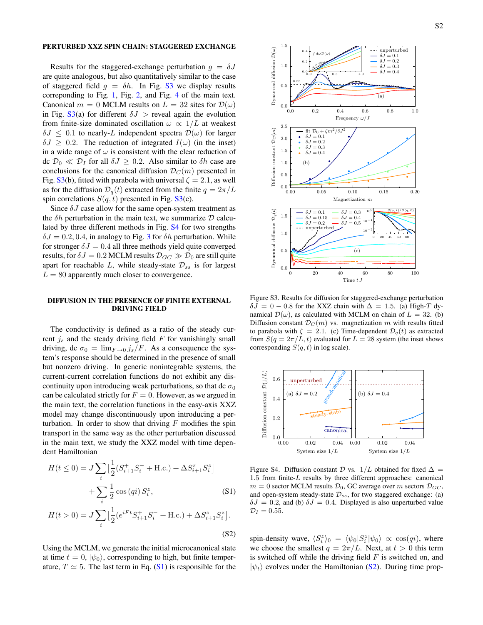#### PERTURBED XXZ SPIN CHAIN: STAGGERED EXCHANGE

Results for the staggered-exchange perturbation  $g = \delta J$ are quite analogous, but also quantitatively similar to the case of staggered field  $g = \delta h$ . In Fig. [S3](#page-2-2) we display results correponding to Fig. [1,](#page-1-2) Fig. [2,](#page-2-1) and Fig. [4](#page-3-0) of the main text. Canonical  $m = 0$  MCLM results on  $L = 32$  sites for  $\mathcal{D}(\omega)$ in Fig. [S3\(](#page-2-2)a) for different  $\delta J$  > reveal again the evolution from finite-size dominated oscillation  $\omega \propto 1/L$  at weakest  $\delta J \leq 0.1$  to nearly-L independent spectra  $\mathcal{D}(\omega)$  for larger  $\delta J \geq 0.2$ . The reduction of integrated  $I(\omega)$  (in the inset) in a wide range of  $\omega$  is consistent with the clear reduction of dc  $\mathcal{D}_0 \ll \mathcal{D}_I$  for all  $\delta J \geq 0.2$ . Also similar to  $\delta h$  case are conclusions for the canonical diffusion  $\mathcal{D}_C(m)$  presented in Fig. [S3\(](#page-2-2)b), fitted with parabola with universal  $\zeta = 2.1$ , as well as for the diffusion  $\mathcal{D}_q(t)$  extracted from the finite  $q = 2\pi/L$ spin correlations  $S(q, t)$  presented in Fig. [S3\(](#page-2-2)c).

Since  $\delta J$  case allow for the same open-system treatment as the  $\delta h$  perturbation in the main text, we summarize  $D$  calculated by three different methods in Fig. [S4](#page-3-0) for two strengths  $\delta J = 0.2, 0.4$ , in analogy to Fig. [3](#page-2-2) for  $\delta h$  perturbation. While for stronger  $\delta J = 0.4$  all three methods yield quite converged results, for  $\delta J = 0.2$  MCLM results  $\mathcal{D}_{GC} \gg \mathcal{D}_0$  are still quite apart for reachable L, while steady-state  $\mathcal{D}_{ss}$  is for largest  $L = 80$  apparently much closer to convergence.

### DIFFUSION IN THE PRESENCE OF FINITE EXTERNAL DRIVING FIELD

The conductivity is defined as a ratio of the steady current  $j_s$  and the steady driving field  $F$  for vanishingly small driving, dc  $\sigma_0 = \lim_{F \to 0} j_s/F$ . As a consequence the system's response should be determined in the presence of small but nonzero driving. In generic nonintegrable systems, the current-current correlation functions do not exhibit any discontinuity upon introducing weak perturbations, so that dc  $\sigma_0$ can be calculated strictly for  $F = 0$ . However, as we argued in the main text, the correlation functions in the easy-axis XXZ model may change discontinuously upon introducing a perturbation. In order to show that driving  $F$  modifies the spin transport in the same way as the other perturbation discussed in the main text, we study the XXZ model with time dependent Hamiltonian

$$
H(t \le 0) = J \sum_{i} \left[ \frac{1}{2} (S_{i+1}^{+} S_{i}^{-} + \text{H.c.}) + \Delta S_{i+1}^{z} S_{i}^{z} \right] + \sum_{i} \frac{1}{2} \cos(qi) S_{i}^{z},
$$
\n(S1)

$$
H(t>0) = J \sum_{i} \left[\frac{1}{2} (e^{iFt} S_{i+1}^+ S_i^- + \text{H.c.}) + \Delta S_{i+1}^z S_i^z\right].
$$
\n(S2)

Using the MCLM, we generate the initial microcanonical state at time  $t = 0$ ,  $|\psi_0\rangle$ , corresponding to high, but finite temperature,  $T \simeq 5$ . The last term in Eq. [\(S1\)](#page-0-0) is responsible for the



Figure S3. Results for diffusion for staggered-exchange perturbation  $\delta J = 0 - 0.8$  for the XXZ chain with  $\Delta = 1.5$ . (a) High-T dynamical  $\mathcal{D}(\omega)$ , as calculated with MCLM on chain of  $L = 32$ . (b) Diffusion constant  $\mathcal{D}_C(m)$  vs. magnetization m with results fitted to parabola with  $\zeta = 2.1$ . (c) Time-dependent  $\mathcal{D}_{q}(t)$  as extracted from  $S(q = 2\pi/L, t)$  evaluated for  $L = 28$  system (the inset shows corresponding  $S(q, t)$  in log scale).



Figure S4. Diffusion constant  $\mathcal D$  vs.  $1/L$  obtained for fixed  $\Delta =$  $1.5$  from finite- $L$  results by three different approaches: canonical  $m = 0$  sector MCLM results  $\mathcal{D}_0$ , GC average over m sectors  $\mathcal{D}_{GC}$ , and open-system steady-state  $\mathcal{D}_{ss}$ , for two staggered exchange: (a)  $\delta J = 0.2$ , and (b)  $\delta J = 0.4$ . Displayed is also unperturbed value  $\mathcal{D}_I = 0.55$ .

spin-density wave,  $\langle S_i^z \rangle_0 = \langle \psi_0 | S_i^z | \psi_0 \rangle \propto \cos(qi)$ , where we choose the smallest  $q = 2\pi/L$ . Next, at  $t > 0$  this term is switched off while the driving field  $F$  is switched on, and  $|\psi_t\rangle$  evolves under the Hamiltonian [\(S2\)](#page-0-0). During time prop